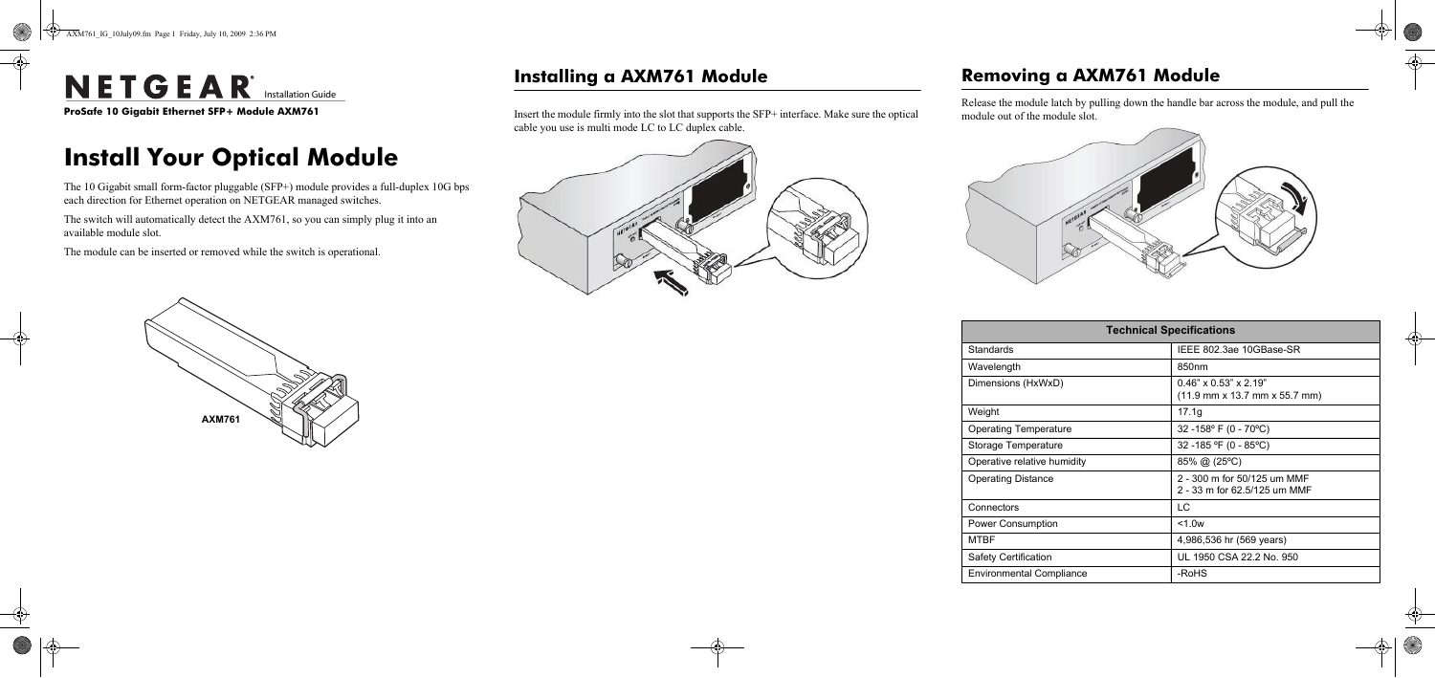e **ProSafe 10 Gigabit Ethernet SFP+ Module AXM761**

# **Install Your Optical Module**

The 10 Gigabit small form-factor pluggable (SFP+) module provides a full-duplex 10G bps each direction for Ethernet operation on NETGEAR managed switches.

The switch will automatically detect the AXM761, so you can simply plug it into an available module slot.

The module can be inserted or removed while the switch is operational.

# **AXM761**

# **Installing a AXM761 Module**

Insert the module firmly into the slot that supports the SFP+ interface. Make sure the optical cable you use is multi mode LC to LC duplex cable.



# **Removing a AXM761 Module**

Release the module latch by pulling down the handle bar across the module, and pull the module out of the module slot.



| <b>Technical Specifications</b> |                                                                                                        |
|---------------------------------|--------------------------------------------------------------------------------------------------------|
| Standards                       | IEEE 802.3ae 10GBase-SR                                                                                |
| Wavelength                      | 850nm                                                                                                  |
| Dimensions (HxWxD)              | $0.46" \times 0.53" \times 2.19"$<br>$(11.9 \text{ mm} \times 13.7 \text{ mm} \times 55.7 \text{ mm})$ |
| Weight                          | 17.1g                                                                                                  |
| <b>Operating Temperature</b>    | 32 -158 $\degree$ F (0 - 70 $\degree$ C)                                                               |
| Storage Temperature             | 32 -185 °F (0 - 85°C)                                                                                  |
| Operative relative humidity     | $85\%$ @ (25 °C)                                                                                       |
| <b>Operating Distance</b>       | 2 - 300 m for 50/125 um MMF<br>2 - 33 m for 62.5/125 um MMF                                            |
| Connectors                      | T.C                                                                                                    |
| <b>Power Consumption</b>        | $<$ 1.0 $w$                                                                                            |
| <b>MTBF</b>                     | 4,986,536 hr (569 years)                                                                               |
| Safety Certification            | UL 1950 CSA 22.2 No. 950                                                                               |
| <b>Environmental Compliance</b> | -RoHS                                                                                                  |

# NETGEAR<sup>®</sup> Installation Guide